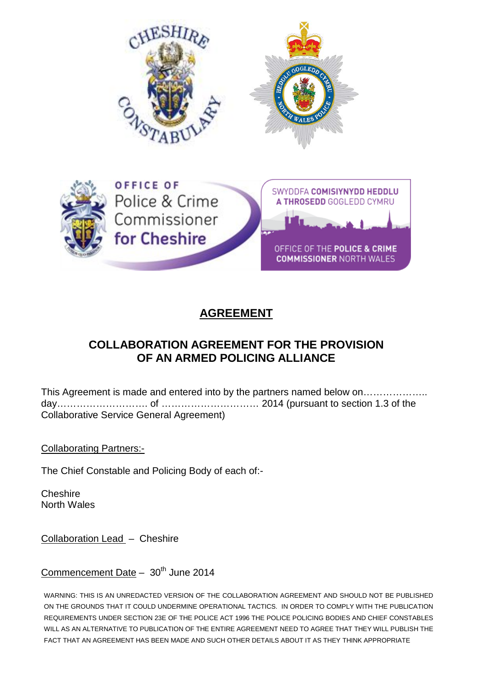



# **AGREEMENT**

## **COLLABORATION AGREEMENT FOR THE PROVISION OF AN ARMED POLICING ALLIANCE**

This Agreement is made and entered into by the partners named below on……………….. day………………………. of ………………………… 2014 (pursuant to section 1.3 of the Collaborative Service General Agreement)

Collaborating Partners:-

The Chief Constable and Policing Body of each of:-

Cheshire North Wales

Collaboration Lead – Cheshire

## Commencement Date  $-30<sup>th</sup>$  June 2014

WARNING: THIS IS AN UNREDACTED VERSION OF THE COLLABORATION AGREEMENT AND SHOULD NOT BE PUBLISHED ON THE GROUNDS THAT IT COULD UNDERMINE OPERATIONAL TACTICS. IN ORDER TO COMPLY WITH THE PUBLICATION REQUIREMENTS UNDER SECTION 23E OF THE POLICE ACT 1996 THE POLICE POLICING BODIES AND CHIEF CONSTABLES WILL AS AN ALTERNATIVE TO PUBLICATION OF THE ENTIRE AGREEMENT NEED TO AGREE THAT THEY WILL PUBLISH THE FACT THAT AN AGREEMENT HAS BEEN MADE AND SUCH OTHER DETAILS ABOUT IT AS THEY THINK APPROPRIATE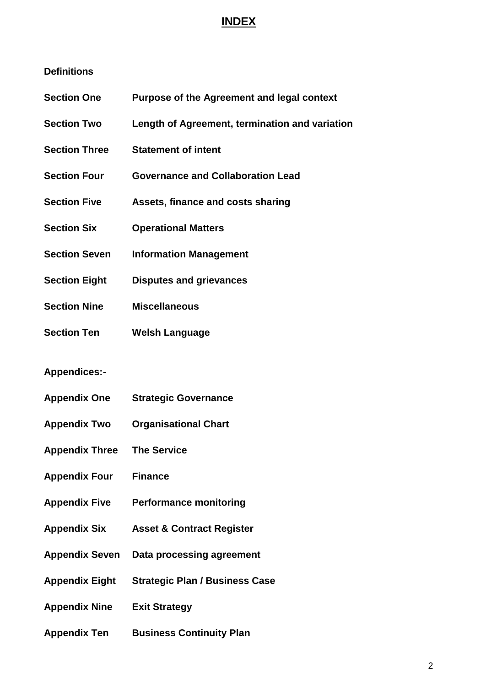## **INDEX**

#### **Definitions**

- **Section One Purpose of the Agreement and legal context**
- **Section Two Length of Agreement, termination and variation**
- **Section Three Statement of intent**
- **Section Four Governance and Collaboration Lead**
- **Section Five Assets, finance and costs sharing**
- **Section Six Operational Matters**
- **Section Seven Information Management**
- **Section Eight Disputes and grievances**
- **Section Nine Miscellaneous**
- **Section Ten Welsh Language**

#### **Appendices:-**

- **Appendix One Strategic Governance**
- **Appendix Two Organisational Chart**
- **Appendix Three The Service**
- **Appendix Four Finance**
- **Appendix Five Performance monitoring**
- **Appendix Six Asset & Contract Register**
- **Appendix Seven Data processing agreement**
- **Appendix Eight Strategic Plan / Business Case**
- **Appendix Nine Exit Strategy**
- **Appendix Ten Business Continuity Plan**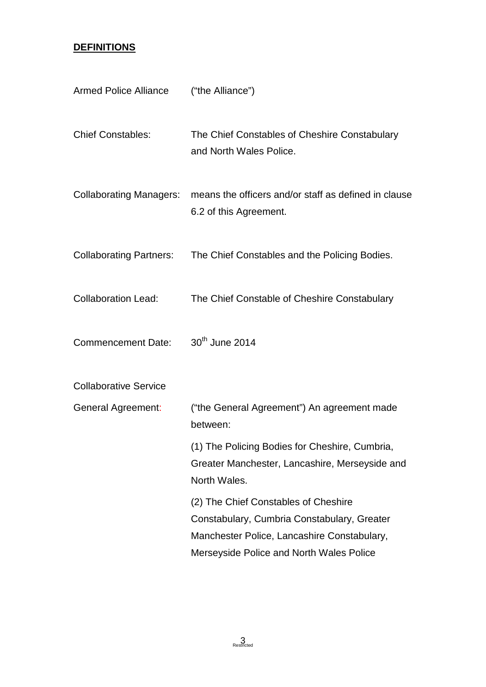## **DEFINITIONS**

| <b>Armed Police Alliance</b>   | ("the Alliance")                                                                                                                                                               |
|--------------------------------|--------------------------------------------------------------------------------------------------------------------------------------------------------------------------------|
| <b>Chief Constables:</b>       | The Chief Constables of Cheshire Constabulary<br>and North Wales Police.                                                                                                       |
| <b>Collaborating Managers:</b> | means the officers and/or staff as defined in clause<br>6.2 of this Agreement.                                                                                                 |
| <b>Collaborating Partners:</b> | The Chief Constables and the Policing Bodies.                                                                                                                                  |
| <b>Collaboration Lead:</b>     | The Chief Constable of Cheshire Constabulary                                                                                                                                   |
| <b>Commencement Date:</b>      | 30 <sup>th</sup> June 2014                                                                                                                                                     |
| <b>Collaborative Service</b>   |                                                                                                                                                                                |
| <b>General Agreement:</b>      | ("the General Agreement") An agreement made<br>between:                                                                                                                        |
|                                | (1) The Policing Bodies for Cheshire, Cumbria,<br>Greater Manchester, Lancashire, Merseyside and<br>North Wales.                                                               |
|                                | (2) The Chief Constables of Cheshire<br>Constabulary, Cumbria Constabulary, Greater<br>Manchester Police, Lancashire Constabulary,<br>Merseyside Police and North Wales Police |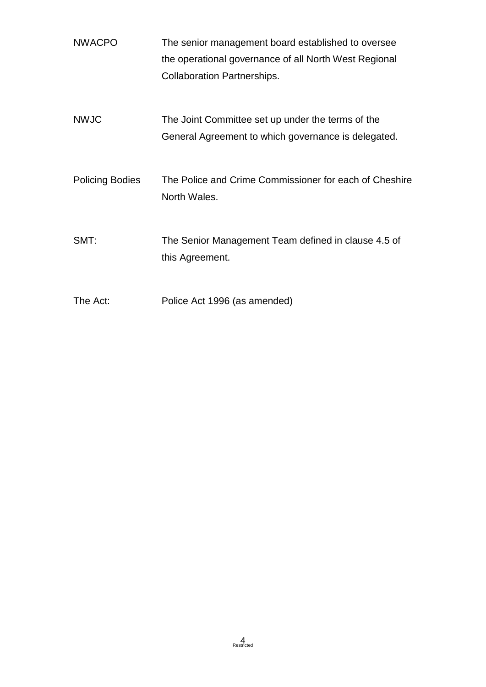| <b>NWACPO</b>          | The senior management board established to oversee<br>the operational governance of all North West Regional |  |
|------------------------|-------------------------------------------------------------------------------------------------------------|--|
|                        | <b>Collaboration Partnerships.</b>                                                                          |  |
| <b>NWJC</b>            | The Joint Committee set up under the terms of the<br>General Agreement to which governance is delegated.    |  |
| <b>Policing Bodies</b> | The Police and Crime Commissioner for each of Cheshire<br>North Wales.                                      |  |
| SMT:                   | The Senior Management Team defined in clause 4.5 of<br>this Agreement.                                      |  |
| The Act:               | Police Act 1996 (as amended)                                                                                |  |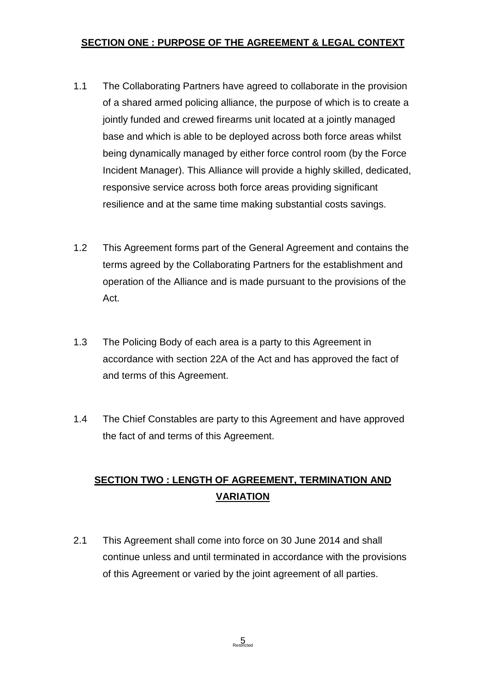### **SECTION ONE : PURPOSE OF THE AGREEMENT & LEGAL CONTEXT**

- 1.1 The Collaborating Partners have agreed to collaborate in the provision of a shared armed policing alliance, the purpose of which is to create a jointly funded and crewed firearms unit located at a jointly managed base and which is able to be deployed across both force areas whilst being dynamically managed by either force control room (by the Force Incident Manager). This Alliance will provide a highly skilled, dedicated, responsive service across both force areas providing significant resilience and at the same time making substantial costs savings.
- 1.2 This Agreement forms part of the General Agreement and contains the terms agreed by the Collaborating Partners for the establishment and operation of the Alliance and is made pursuant to the provisions of the Act.
- 1.3 The Policing Body of each area is a party to this Agreement in accordance with section 22A of the Act and has approved the fact of and terms of this Agreement.
- 1.4 The Chief Constables are party to this Agreement and have approved the fact of and terms of this Agreement.

# **SECTION TWO : LENGTH OF AGREEMENT, TERMINATION AND VARIATION**

2.1 This Agreement shall come into force on 30 June 2014 and shall continue unless and until terminated in accordance with the provisions of this Agreement or varied by the joint agreement of all parties.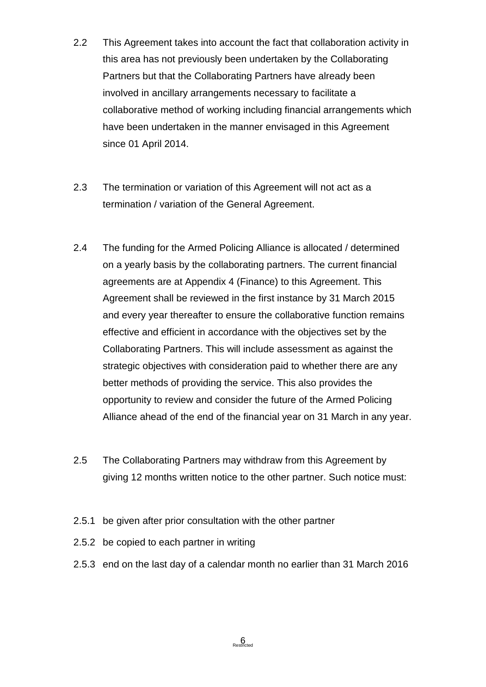- 2.2 This Agreement takes into account the fact that collaboration activity in this area has not previously been undertaken by the Collaborating Partners but that the Collaborating Partners have already been involved in ancillary arrangements necessary to facilitate a collaborative method of working including financial arrangements which have been undertaken in the manner envisaged in this Agreement since 01 April 2014.
- 2.3 The termination or variation of this Agreement will not act as a termination / variation of the General Agreement.
- 2.4 The funding for the Armed Policing Alliance is allocated / determined on a yearly basis by the collaborating partners. The current financial agreements are at Appendix 4 (Finance) to this Agreement. This Agreement shall be reviewed in the first instance by 31 March 2015 and every year thereafter to ensure the collaborative function remains effective and efficient in accordance with the objectives set by the Collaborating Partners. This will include assessment as against the strategic objectives with consideration paid to whether there are any better methods of providing the service. This also provides the opportunity to review and consider the future of the Armed Policing Alliance ahead of the end of the financial year on 31 March in any year.
- 2.5 The Collaborating Partners may withdraw from this Agreement by giving 12 months written notice to the other partner. Such notice must:
- 2.5.1 be given after prior consultation with the other partner
- 2.5.2 be copied to each partner in writing
- 2.5.3 end on the last day of a calendar month no earlier than 31 March 2016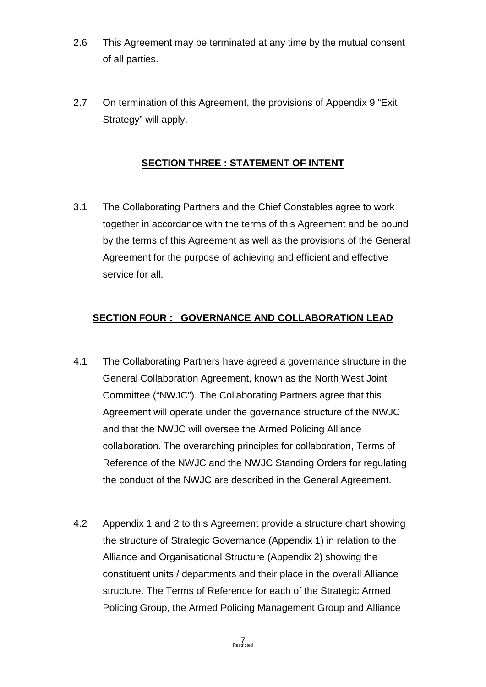- 2.6 This Agreement may be terminated at any time by the mutual consent of all parties.
- 2.7 On termination of this Agreement, the provisions of Appendix 9 "Exit Strategy" will apply.

### **SECTION THREE : STATEMENT OF INTENT**

3.1 The Collaborating Partners and the Chief Constables agree to work together in accordance with the terms of this Agreement and be bound by the terms of this Agreement as well as the provisions of the General Agreement for the purpose of achieving and efficient and effective service for all.

#### **SECTION FOUR : GOVERNANCE AND COLLABORATION LEAD**

- 4.1 The Collaborating Partners have agreed a governance structure in the General Collaboration Agreement, known as the North West Joint Committee ("NWJC"). The Collaborating Partners agree that this Agreement will operate under the governance structure of the NWJC and that the NWJC will oversee the Armed Policing Alliance collaboration. The overarching principles for collaboration, Terms of Reference of the NWJC and the NWJC Standing Orders for regulating the conduct of the NWJC are described in the General Agreement.
- 4.2 Appendix 1 and 2 to this Agreement provide a structure chart showing the structure of Strategic Governance (Appendix 1) in relation to the Alliance and Organisational Structure (Appendix 2) showing the constituent units / departments and their place in the overall Alliance structure. The Terms of Reference for each of the Strategic Armed Policing Group, the Armed Policing Management Group and Alliance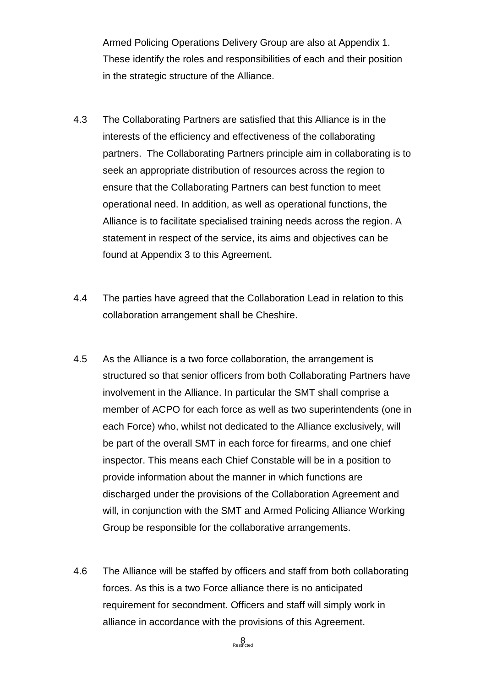Armed Policing Operations Delivery Group are also at Appendix 1. These identify the roles and responsibilities of each and their position in the strategic structure of the Alliance.

- 4.3 The Collaborating Partners are satisfied that this Alliance is in the interests of the efficiency and effectiveness of the collaborating partners. The Collaborating Partners principle aim in collaborating is to seek an appropriate distribution of resources across the region to ensure that the Collaborating Partners can best function to meet operational need. In addition, as well as operational functions, the Alliance is to facilitate specialised training needs across the region. A statement in respect of the service, its aims and objectives can be found at Appendix 3 to this Agreement.
- 4.4 The parties have agreed that the Collaboration Lead in relation to this collaboration arrangement shall be Cheshire.
- 4.5 As the Alliance is a two force collaboration, the arrangement is structured so that senior officers from both Collaborating Partners have involvement in the Alliance. In particular the SMT shall comprise a member of ACPO for each force as well as two superintendents (one in each Force) who, whilst not dedicated to the Alliance exclusively, will be part of the overall SMT in each force for firearms, and one chief inspector. This means each Chief Constable will be in a position to provide information about the manner in which functions are discharged under the provisions of the Collaboration Agreement and will, in conjunction with the SMT and Armed Policing Alliance Working Group be responsible for the collaborative arrangements.
- 4.6 The Alliance will be staffed by officers and staff from both collaborating forces. As this is a two Force alliance there is no anticipated requirement for secondment. Officers and staff will simply work in alliance in accordance with the provisions of this Agreement.

 $8<sub>Perfricted</sub>$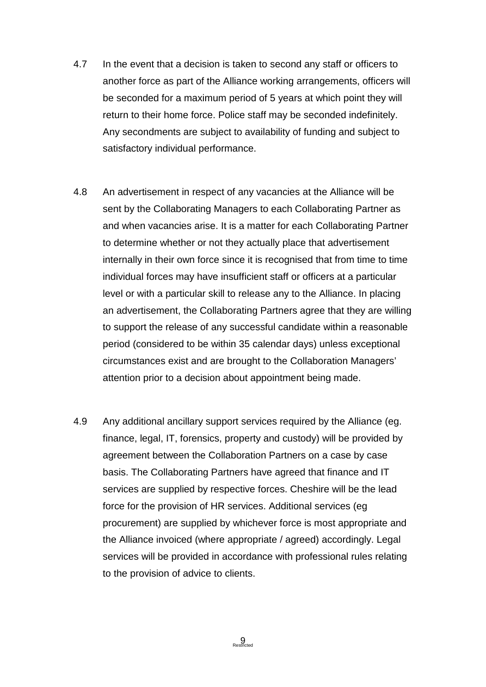- 4.7 In the event that a decision is taken to second any staff or officers to another force as part of the Alliance working arrangements, officers will be seconded for a maximum period of 5 years at which point they will return to their home force. Police staff may be seconded indefinitely. Any secondments are subject to availability of funding and subject to satisfactory individual performance.
- 4.8 An advertisement in respect of any vacancies at the Alliance will be sent by the Collaborating Managers to each Collaborating Partner as and when vacancies arise. It is a matter for each Collaborating Partner to determine whether or not they actually place that advertisement internally in their own force since it is recognised that from time to time individual forces may have insufficient staff or officers at a particular level or with a particular skill to release any to the Alliance. In placing an advertisement, the Collaborating Partners agree that they are willing to support the release of any successful candidate within a reasonable period (considered to be within 35 calendar days) unless exceptional circumstances exist and are brought to the Collaboration Managers' attention prior to a decision about appointment being made.
- 4.9 Any additional ancillary support services required by the Alliance (eg. finance, legal, IT, forensics, property and custody) will be provided by agreement between the Collaboration Partners on a case by case basis. The Collaborating Partners have agreed that finance and IT services are supplied by respective forces. Cheshire will be the lead force for the provision of HR services. Additional services (eg procurement) are supplied by whichever force is most appropriate and the Alliance invoiced (where appropriate / agreed) accordingly. Legal services will be provided in accordance with professional rules relating to the provision of advice to clients.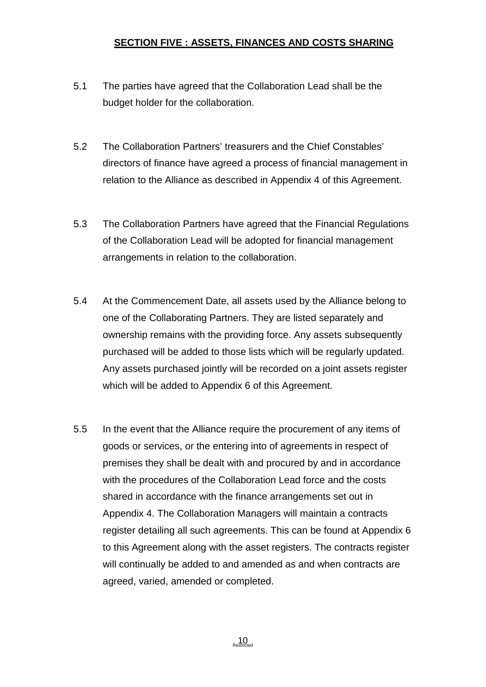#### **SECTION FIVE : ASSETS, FINANCES AND COSTS SHARING**

- 5.1 The parties have agreed that the Collaboration Lead shall be the budget holder for the collaboration.
- 5.2 The Collaboration Partners' treasurers and the Chief Constables' directors of finance have agreed a process of financial management in relation to the Alliance as described in Appendix 4 of this Agreement.
- 5.3 The Collaboration Partners have agreed that the Financial Regulations of the Collaboration Lead will be adopted for financial management arrangements in relation to the collaboration.
- 5.4 At the Commencement Date, all assets used by the Alliance belong to one of the Collaborating Partners. They are listed separately and ownership remains with the providing force. Any assets subsequently purchased will be added to those lists which will be regularly updated. Any assets purchased jointly will be recorded on a joint assets register which will be added to Appendix 6 of this Agreement.
- 5.5 In the event that the Alliance require the procurement of any items of goods or services, or the entering into of agreements in respect of premises they shall be dealt with and procured by and in accordance with the procedures of the Collaboration Lead force and the costs shared in accordance with the finance arrangements set out in Appendix 4. The Collaboration Managers will maintain a contracts register detailing all such agreements. This can be found at Appendix 6 to this Agreement along with the asset registers. The contracts register will continually be added to and amended as and when contracts are agreed, varied, amended or completed.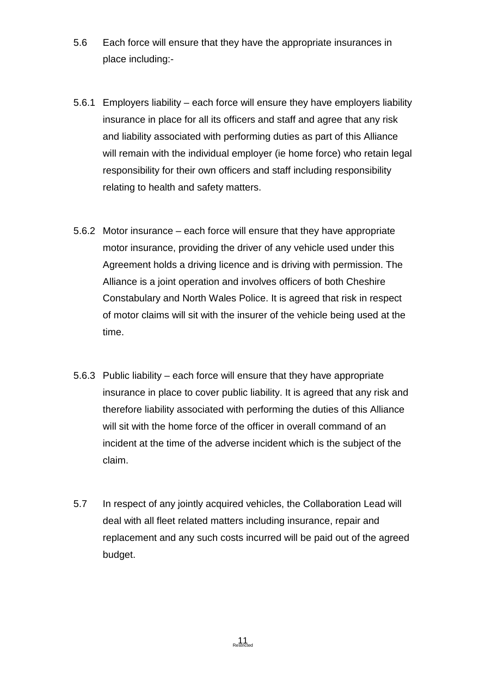- 5.6 Each force will ensure that they have the appropriate insurances in place including:-
- 5.6.1 Employers liability each force will ensure they have employers liability insurance in place for all its officers and staff and agree that any risk and liability associated with performing duties as part of this Alliance will remain with the individual employer (ie home force) who retain legal responsibility for their own officers and staff including responsibility relating to health and safety matters.
- 5.6.2 Motor insurance each force will ensure that they have appropriate motor insurance, providing the driver of any vehicle used under this Agreement holds a driving licence and is driving with permission. The Alliance is a joint operation and involves officers of both Cheshire Constabulary and North Wales Police. It is agreed that risk in respect of motor claims will sit with the insurer of the vehicle being used at the time.
- 5.6.3 Public liability each force will ensure that they have appropriate insurance in place to cover public liability. It is agreed that any risk and therefore liability associated with performing the duties of this Alliance will sit with the home force of the officer in overall command of an incident at the time of the adverse incident which is the subject of the claim.
- 5.7 In respect of any jointly acquired vehicles, the Collaboration Lead will deal with all fleet related matters including insurance, repair and replacement and any such costs incurred will be paid out of the agreed budget.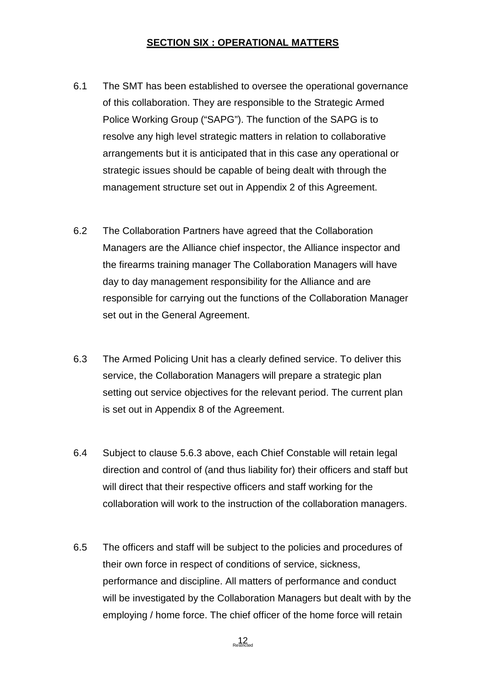#### **SECTION SIX : OPERATIONAL MATTERS**

- 6.1 The SMT has been established to oversee the operational governance of this collaboration. They are responsible to the Strategic Armed Police Working Group ("SAPG"). The function of the SAPG is to resolve any high level strategic matters in relation to collaborative arrangements but it is anticipated that in this case any operational or strategic issues should be capable of being dealt with through the management structure set out in Appendix 2 of this Agreement.
- 6.2 The Collaboration Partners have agreed that the Collaboration Managers are the Alliance chief inspector, the Alliance inspector and the firearms training manager The Collaboration Managers will have day to day management responsibility for the Alliance and are responsible for carrying out the functions of the Collaboration Manager set out in the General Agreement.
- 6.3 The Armed Policing Unit has a clearly defined service. To deliver this service, the Collaboration Managers will prepare a strategic plan setting out service objectives for the relevant period. The current plan is set out in Appendix 8 of the Agreement.
- 6.4 Subject to clause 5.6.3 above, each Chief Constable will retain legal direction and control of (and thus liability for) their officers and staff but will direct that their respective officers and staff working for the collaboration will work to the instruction of the collaboration managers.
- 6.5 The officers and staff will be subject to the policies and procedures of their own force in respect of conditions of service, sickness, performance and discipline. All matters of performance and conduct will be investigated by the Collaboration Managers but dealt with by the employing / home force. The chief officer of the home force will retain

 $12<sub>netrical</sub>$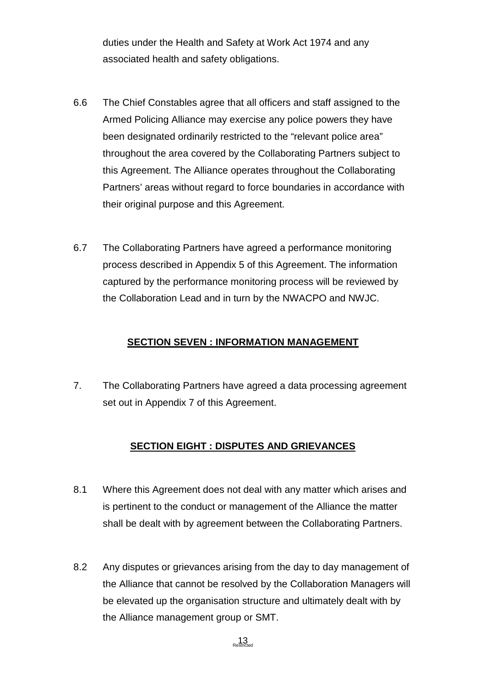duties under the Health and Safety at Work Act 1974 and any associated health and safety obligations.

- 6.6 The Chief Constables agree that all officers and staff assigned to the Armed Policing Alliance may exercise any police powers they have been designated ordinarily restricted to the "relevant police area" throughout the area covered by the Collaborating Partners subject to this Agreement. The Alliance operates throughout the Collaborating Partners' areas without regard to force boundaries in accordance with their original purpose and this Agreement.
- 6.7 The Collaborating Partners have agreed a performance monitoring process described in Appendix 5 of this Agreement. The information captured by the performance monitoring process will be reviewed by the Collaboration Lead and in turn by the NWACPO and NWJC.

#### **SECTION SEVEN : INFORMATION MANAGEMENT**

7. The Collaborating Partners have agreed a data processing agreement set out in Appendix 7 of this Agreement.

#### **SECTION EIGHT : DISPUTES AND GRIEVANCES**

- 8.1 Where this Agreement does not deal with any matter which arises and is pertinent to the conduct or management of the Alliance the matter shall be dealt with by agreement between the Collaborating Partners.
- 8.2 Any disputes or grievances arising from the day to day management of the Alliance that cannot be resolved by the Collaboration Managers will be elevated up the organisation structure and ultimately dealt with by the Alliance management group or SMT.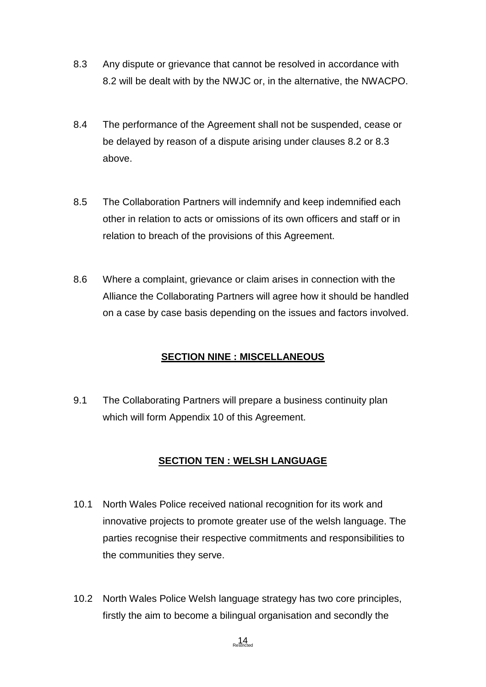- 8.3 Any dispute or grievance that cannot be resolved in accordance with 8.2 will be dealt with by the NWJC or, in the alternative, the NWACPO.
- 8.4 The performance of the Agreement shall not be suspended, cease or be delayed by reason of a dispute arising under clauses 8.2 or 8.3 above.
- 8.5 The Collaboration Partners will indemnify and keep indemnified each other in relation to acts or omissions of its own officers and staff or in relation to breach of the provisions of this Agreement.
- 8.6 Where a complaint, grievance or claim arises in connection with the Alliance the Collaborating Partners will agree how it should be handled on a case by case basis depending on the issues and factors involved.

#### **SECTION NINE : MISCELLANEOUS**

9.1 The Collaborating Partners will prepare a business continuity plan which will form Appendix 10 of this Agreement.

## **SECTION TEN : WELSH LANGUAGE**

- 10.1 North Wales Police received national recognition for its work and innovative projects to promote greater use of the welsh language. The parties recognise their respective commitments and responsibilities to the communities they serve.
- 10.2 North Wales Police Welsh language strategy has two core principles, firstly the aim to become a bilingual organisation and secondly the

 $14$